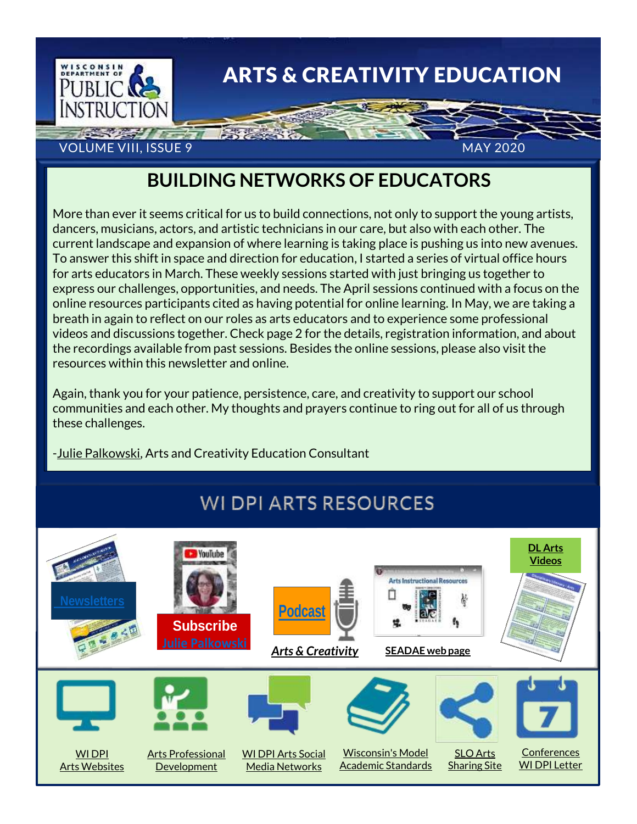

## **BUILDING NETWORKS OF EDUCATORS**

More than ever it seems critical for us to build connections, not only to support the young artists, dancers, musicians, actors, and artistic technicians in our care, but also with each other. The current landscape and expansion of where learning is taking place is pushing us into new avenues. To answer this shift in space and direction for education, I started a series of virtual office hours for arts educators in March. These weekly sessions started with just bringing us together to express our challenges, opportunities, and needs. The April sessions continued with a focus on the online resources participants cited as having potential for online learning. In May, we are taking a breath in again to reflect on our roles as arts educators and to experience some professional videos and discussions together. Check page 2 for the details, registration information, and about the recordings available from past sessions. Besides the online sessions, please also visit the resources within this newsletter and online.

Again, thank you for your patience, persistence, care, and creativity to support our school communities and each other. My thoughts and prayers continue to ring out for all of us through these challenges.

[-Julie Palkowski,](mailto:julie.palkowski@dpi.wi.gov) Arts and Creativity Education Consultant

# **WI DPI ARTS RESOURCES**